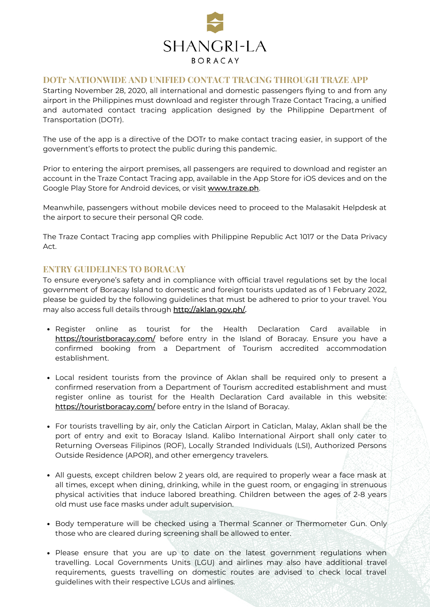

#### **DOTr NATIONWIDE AND UNIFIED CONTACT TRACING THROUGH TRAZE APP**

Starting November 28, 2020, all international and domestic passengers flying to and from any airport in the Philippines must download and register through Traze Contact Tracing, a unified and automated contact tracing application designed by the Philippine Department of Transportation (DOTr).

The use of the app is a directive of the DOTr to make contact tracing easier, in support of the government's efforts to protect the public during this pandemic.

Prior to entering the airport premises, all passengers are required to download and register an account in the Traze Contact Tracing app, available in the App Store for iOS devices and on the Google Play Store for Android devices, or visit [www.traze.ph](http://www.traze.ph/).

Meanwhile, passengers without mobile devices need to proceed to the Malasakit Helpdesk at the airport to secure their personal QR code.

The Traze Contact Tracing app complies with Philippine Republic Act 1017 or the Data Privacy Act.

# **ENTRY GUIDELINES TO BORACAY**

To ensure everyone's safety and in compliance with official travel regulations set by the local government of Boracay Island to domestic and foreign tourists updated as of 1 February 2022, please be guided by the following guidelines that must be adhered to prior to your travel. You may also access full details through [http://aklan.gov.ph/.](http://aklan.gov.ph/)

- Register online as tourist for the Health Declaration Card available in <https://touristboracay.com/> before entry in the Island of Boracay. Ensure you have a confirmed booking from a Department of Tourism accredited accommodation establishment.
- Local resident tourists from the province of Aklan shall be required only to present a confirmed reservation from a Department of Tourism accredited establishment and must register online as tourist for the Health Declaration Card available in this website: <https://touristboracay.com/> before entry in the Island of Boracay.
- For tourists travelling by air, only the Caticlan Airport in Caticlan, Malay, Aklan shall be the port of entry and exit to Boracay Island. Kalibo International Airport shall only cater to Returning Overseas Filipinos (ROF), Locally Stranded Individuals (LSI), Authorized Persons Outside Residence (APOR), and other emergency travelers.
- All guests, except children below 2 years old, are required to properly wear a face mask at all times, except when dining, drinking, while in the guest room, or engaging in strenuous physical activities that induce labored breathing. Children between the ages of 2-8 years old must use face masks under adult supervision.
- Body temperature will be checked using a Thermal Scanner or Thermometer Gun. Only those who are cleared during screening shall be allowed to enter.
- Please ensure that you are up to date on the latest government regulations when travelling. Local Governments Units (LGU) and airlines may also have additional travel requirements, guests travelling on domestic routes are advised to check local travel guidelines with their respective LGUs and airlines.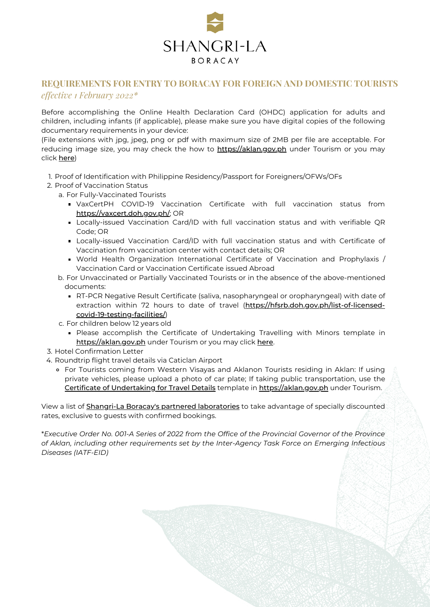

# **REQUIREMENTS FOR ENTRY TO BORACAY FOR FOREIGN AND DOMESTIC TOURISTS** *effective 1 February 2022\**

Before accomplishing the Online Health Declaration Card (OHDC) application for adults and children, including infants (if applicable), please make sure you have digital copies of the following documentary requirements in your device:

(File extensions with jpg, jpeg, png or pdf with maximum size of 2MB per file are acceptable. For reducing image size, you may check the how to **[https://aklan.gov.ph](https://apc01.safelinks.protection.outlook.com/?url=https%3A%2F%2Faklan.gov.ph%2F&data=04%7C01%7Cmica.cordero%40shangri-la.com%7Cff28fedd4a55478cf61008d9b5220d63%7Cb4b94aa124084fce9babf498c1f95951%7C0%7C0%7C637739980140035216%7CUnknown%7CTWFpbGZsb3d8eyJWIjoiMC4wLjAwMDAiLCJQIjoiV2luMzIiLCJBTiI6Ik1haWwiLCJXVCI6Mn0%3D%7C3000&sdata=hF3oRJ%2BnAqL5tmjyZEyjnBd1cYQwluJcLCKZusGpue8%3D&reserved=0)** under Tourism or you may click [here](https://apc01.safelinks.protection.outlook.com/?url=https%3A%2F%2Faklan.gov.ph%2Fguide-for-resizing-image%2F&data=04%7C01%7Cmica.cordero%40shangri-la.com%7Cff28fedd4a55478cf61008d9b5220d63%7Cb4b94aa124084fce9babf498c1f95951%7C0%7C0%7C637739980140045215%7CUnknown%7CTWFpbGZsb3d8eyJWIjoiMC4wLjAwMDAiLCJQIjoiV2luMzIiLCJBTiI6Ik1haWwiLCJXVCI6Mn0%3D%7C3000&sdata=sM5IIUZHMCOfgHHQHAz13XMGgAWeMjbSVDM6BB%2BTzEM%3D&reserved=0))

- 1. Proof of Identification with Philippine Residency/Passport for Foreigners/OFWs/OFs
- 2. Proof of Vaccination Status
	- a. For Fully-Vaccinated Tourists
		- VaxCertPH COVID-19 Vaccination Certificate with full vaccination status from [https://vaxcert.doh.gov.ph/](https://apc01.safelinks.protection.outlook.com/?url=https%3A%2F%2Fvaxcert.doh.gov.ph%2F&data=04%7C01%7Cmica.cordero%40shangri-la.com%7Cff28fedd4a55478cf61008d9b5220d63%7Cb4b94aa124084fce9babf498c1f95951%7C0%7C0%7C637739980140045215%7CUnknown%7CTWFpbGZsb3d8eyJWIjoiMC4wLjAwMDAiLCJQIjoiV2luMzIiLCJBTiI6Ik1haWwiLCJXVCI6Mn0%3D%7C3000&sdata=m%2FCvOKqBAi%2BwCX92WB02CRY1s%2FLvvB2IJpdyxVpuvao%3D&reserved=0); OR
		- Locally-issued Vaccination Card/ID with full vaccination status and with verifiable QR Code; OR
		- Locally-issued Vaccination Card/ID with full vaccination status and with Certificate of Vaccination from vaccination center with contact details; OR
		- World Health Organization International Certificate of Vaccination and Prophylaxis / Vaccination Card or Vaccination Certificate issued Abroad

### b. For Unvaccinated or Partially Vaccinated Tourists or in the absence of the above-mentioned documents:

- RT-PCR Negative Result Certificate (saliva, nasopharyngeal or oropharyngeal) with date of extraction within 72 hours to date of travel ([https://hfsrb.doh.gov.ph/list-of-licensed](https://apc01.safelinks.protection.outlook.com/?url=https%3A%2F%2Fhfsrb.doh.gov.ph%2Flist-of-licensed-covid-19-testing-facilities%2F&data=04%7C01%7Cmica.cordero%40shangri-la.com%7Cff28fedd4a55478cf61008d9b5220d63%7Cb4b94aa124084fce9babf498c1f95951%7C0%7C0%7C637739980140055208%7CUnknown%7CTWFpbGZsb3d8eyJWIjoiMC4wLjAwMDAiLCJQIjoiV2luMzIiLCJBTiI6Ik1haWwiLCJXVCI6Mn0%3D%7C3000&sdata=FkcQA3RB4TN2r%2FBrtoDW%2FUw3qmPXF3nbmxZzDBfiLAo%3D&reserved=0)covid-19-testing-facilities/)
- c. For children below 12 years old
	- **Please accomplish the Certificate of Undertaking Travelling with Minors template in** [https://aklan.gov.ph](https://apc01.safelinks.protection.outlook.com/?url=https%3A%2F%2Faklan.gov.ph%2F&data=04%7C01%7Cmica.cordero%40shangri-la.com%7Cff28fedd4a55478cf61008d9b5220d63%7Cb4b94aa124084fce9babf498c1f95951%7C0%7C0%7C637739980140055208%7CUnknown%7CTWFpbGZsb3d8eyJWIjoiMC4wLjAwMDAiLCJQIjoiV2luMzIiLCJBTiI6Ik1haWwiLCJXVCI6Mn0%3D%7C3000&sdata=CGrF%2Be9TnzMxmabTpJUIs9OgEgkIdKky2a32kig8pyE%3D&reserved=0) under Tourism or you may click [here](https://apc01.safelinks.protection.outlook.com/?url=https%3A%2F%2Faklan.gov.ph%2Ftravel-details-template%2Fcertificate-of-undertaking-traveling-with-minors%2F&data=04%7C01%7Cmica.cordero%40shangri-la.com%7Cff28fedd4a55478cf61008d9b5220d63%7Cb4b94aa124084fce9babf498c1f95951%7C0%7C0%7C637739980140065197%7CUnknown%7CTWFpbGZsb3d8eyJWIjoiMC4wLjAwMDAiLCJQIjoiV2luMzIiLCJBTiI6Ik1haWwiLCJXVCI6Mn0%3D%7C3000&sdata=GKyRsJs4tV7tYQDkHqLUQu5wXWI8%2FHGS1ooumBCsFdI%3D&reserved=0).
- 3. Hotel Confirmation Letter
- 4. Roundtrip flight travel details via Caticlan Airport
	- For Tourists coming from Western Visayas and Aklanon Tourists residing in Aklan: If using private vehicles, please upload a photo of car plate; If taking public transportation, use the Certificate of [Undertaking](https://apc01.safelinks.protection.outlook.com/?url=https%3A%2F%2Faklan.gov.ph%2Ftravel-details-template%2Fcertificate-of-undertaking-travel-details%2F&data=04%7C01%7Cmica.cordero%40shangri-la.com%7Cff28fedd4a55478cf61008d9b5220d63%7Cb4b94aa124084fce9babf498c1f95951%7C0%7C0%7C637739980140065197%7CUnknown%7CTWFpbGZsb3d8eyJWIjoiMC4wLjAwMDAiLCJQIjoiV2luMzIiLCJBTiI6Ik1haWwiLCJXVCI6Mn0%3D%7C3000&sdata=Sc9fsWOBetOFFbri4cDFNtCyMUlwbtv1i4WeSqXX7ew%3D&reserved=0) for Travel Details template in [https://aklan.gov.ph](https://apc01.safelinks.protection.outlook.com/?url=https%3A%2F%2Faklan.gov.ph%2F&data=04%7C01%7Cmica.cordero%40shangri-la.com%7Cff28fedd4a55478cf61008d9b5220d63%7Cb4b94aa124084fce9babf498c1f95951%7C0%7C0%7C637739980140075196%7CUnknown%7CTWFpbGZsb3d8eyJWIjoiMC4wLjAwMDAiLCJQIjoiV2luMzIiLCJBTiI6Ik1haWwiLCJXVCI6Mn0%3D%7C3000&sdata=lgOORcrGc1XIYihjGDbfKBW3qgwI%2BU%2BqyK0WG9%2FYTC0%3D&reserved=0) under Tourism.

View a list of **Shangri-La Boracay's partnered [laboratories](https://www.canva.com/design/DAEv-1dECws/FZRl1_XNJqf2qCxsHUezUg/view?utm_content=DAEv-1dECws&utm_campaign=designshare&utm_medium=link&utm_source=sharebutton)** to take advantage of specially discounted rates, exclusive to guests with confirmed bookings.

\**Executive Order No. 001-A Series of 2022 from the Office of the Provincial Governor of the Province of Aklan, including other requirements set by the Inter-Agency Task Force on Emerging Infectious Diseases (IATF-EID)*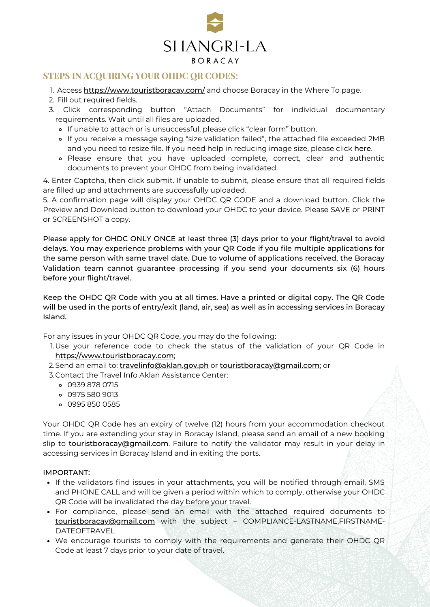

# **STEPS IN ACQUIRING YOUR OHDC QR CODES:**

- 1. Access <u>[https://www.touristboracay.com/](https://apc01.safelinks.protection.outlook.com/?url=https%3A%2F%2Fwww.touristboracay.com%2F&data=04%7C01%7Cmica.cordero%40shangri-la.com%7Cff28fedd4a55478cf61008d9b5220d63%7Cb4b94aa124084fce9babf498c1f95951%7C0%7C0%7C637739980140075196%7CUnknown%7CTWFpbGZsb3d8eyJWIjoiMC4wLjAwMDAiLCJQIjoiV2luMzIiLCJBTiI6Ik1haWwiLCJXVCI6Mn0%3D%7C3000&sdata=%2B8MYN56JxX7Wp%2BK%2Ft2av0Wq9t%2Fm9NvBMMGEJkyRIHPk%3D&reserved=0)</u> and choose Boracay in the Where To page.
- 2. Fill out required fields.
- Click corresponding button "Attach Documents" for individual documentary 3.requirements. Wait until all files are uploaded.
	- o If unable to attach or is unsuccessful, please click "clear form" button.
	- If you receive a message saying "size validation failed", the attached file exceeded 2MB and you need to resize file. If you need help in reducing image size, please click [here](https://apc01.safelinks.protection.outlook.com/?url=https%3A%2F%2Faklan.gov.ph%2Fguide-for-resizing-image%2F&data=04%7C01%7Cmica.cordero%40shangri-la.com%7Cff28fedd4a55478cf61008d9b5220d63%7Cb4b94aa124084fce9babf498c1f95951%7C0%7C0%7C637739980140085189%7CUnknown%7CTWFpbGZsb3d8eyJWIjoiMC4wLjAwMDAiLCJQIjoiV2luMzIiLCJBTiI6Ik1haWwiLCJXVCI6Mn0%3D%7C3000&sdata=%2FHy4TMznMNUw157qmljcgL2UoJjsG5SgYp6QMeoNtu8%3D&reserved=0).
	- Please ensure that you have uploaded complete, correct, clear and authentic documents to prevent your OHDC from being invalidated.

4. Enter Captcha, then click submit. If unable to submit, please ensure that all required fields are filled up and attachments are successfully uploaded.

5. A confirmation page will display your OHDC QR CODE and a download button. Click the Preview and Download button to download your OHDC to your device. Please SAVE or PRINT or SCREENSHOT a copy.

Please apply for OHDC ONLY ONCE at least three (3) days prior to your flight/travel to avoid delays. You may experience problems with your QR Code if you file multiple applications for the same person with same travel date. Due to volume of applications received, the Boracay Validation team cannot guarantee processing if you send your documents six (6) hours before your flight/travel.

Keep the OHDC QR Code with you at all times. Have a printed or digital copy. The QR Code will be used in the ports of entry/exit (land, air, sea) as well as in accessing services in Boracay Island.

For any issues in your OHDC QR Code, you may do the following:

- Use your reference code to check the status of the validation of your QR Code in 1. [https://www.touristboracay.com](https://apc01.safelinks.protection.outlook.com/?url=https%3A%2F%2Fwww.touristboracay.com%2F&data=04%7C01%7Cmica.cordero%40shangri-la.com%7Cff28fedd4a55478cf61008d9b5220d63%7Cb4b94aa124084fce9babf498c1f95951%7C0%7C0%7C637739980140095183%7CUnknown%7CTWFpbGZsb3d8eyJWIjoiMC4wLjAwMDAiLCJQIjoiV2luMzIiLCJBTiI6Ik1haWwiLCJXVCI6Mn0%3D%7C3000&sdata=J9uzpuLCKbGCVGBjLhVgVnr70LW0mT0VF0sRp7jgRWc%3D&reserved=0);
- 2.Send an email to: <u>[travelinfo@aklan.gov.ph](mailto:travelinfo@aklan.gov.ph)</u> or <u>[touristboracay@gmail.com](mailto:touristboracay@gmail.com)</u>; or
- 3.Contact the Travel Info Aklan Assistance Center:
	- 0939 878 0715
	- 0975 580 9013
	- 0995 850 0585

Your OHDC QR Code has an expiry of twelve (12) hours from your accommodation checkout time. If you are extending your stay in Boracay Island, please send an email of a new booking slip to [touristboracay@gmail.com](mailto:touristboracay@gmail.com). Failure to notify the validator may result in your delay in accessing services in Boracay Island and in exiting the ports.

#### IMPORTANT:

- If the validators find issues in your attachments, you will be notified through email, SMS and PHONE CALL and will be given a period within which to comply, otherwise your OHDC QR Code will be invalidated the day before your travel.
- For compliance, please send an email with the attached required documents to [touristboracay@gmail.com](mailto:touristboracay@gmail.com) with the subject – COMPLIANCE-LASTNAME,FIRSTNAME-DATEOFTRAVEL
- We encourage tourists to comply with the requirements and generate their OHDC QR Code at least 7 days prior to your date of travel.